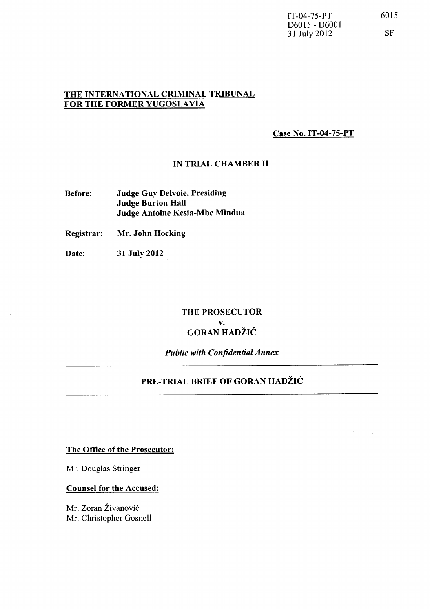$\lambda_{\rm{max}}$ 

## THE INTERNATIONAL CRIMINAL TRIBUNAL FOR THE FORMER YUGOSLAVIA

Case No. IT-04-7S-PT

#### IN TRIAL CHAMBER 11

- Before: Judge Guy Delvoie, Presiding Judge Burton Hall Judge Antoine Kesia-Mbe Mindua
- Registrar: Mr. John Hocking
- Date: 31 July 2012

## THE PROSECUTOR v. GORAN HADŽIĆ

*Public with Confidential Annex* 

## PRE-TRIAL BRIEF OF GORAN HADŽIĆ

The Office of the Prosecutor:

Mr. Douglas Stringer

#### Counsel for the Accused:

Mr. Zoran Živanović Mr. Christopher Gosnell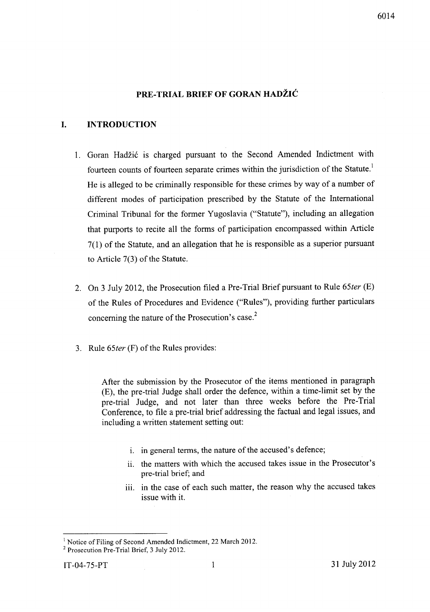## **PRE-TRIAL BRIEF OF** GO RAN **HADZIC**

## **I. INTRODUCTION**

- 1. Goran Hadžić is charged pursuant to the Second Amended Indictment with fourteen counts of fourteen separate crimes within the jurisdiction of the Statute.<sup>1</sup> He is alleged to be criminally responsible for these crimes by way of a number of different modes of participation prescribed by the Statute of the International Criminal Tribunal for the former Yugoslavia ("Statute"), including an allegation that purports to recite all the forms of participation encompassed within Article 7(1) of the Statute, and an allegation that he is responsible as a superior pursuant to Article 7(3) of the Statute.
- 2. On 3 July 2012, the Prosecution filed a Pre-Trial Brief pursuant to Rule *65ter* (E) of the Rules of Procedures and Evidence ("Rules"), providing further particulars concerning the nature of the Prosecution's case. $<sup>2</sup>$ </sup>
- 3. Rule *65ter* (F) of the Rules provides:

After the submission by the Prosecutor of the items mentioned in paragraph (E), the pre-trial Judge shall order the defence, within a time-limit set by the pre-trial Judge, and not later than three weeks before the Pre-Trial Conference, to file a pre-trial brief addressing the factual and legal issues, and including a written statement setting out:

- i. in general terms, the nature of the accused's defence;
- ii. the matters with which the accused takes issue in the Prosecutor's pre-trial brief; and
- iii. in the case of each such matter, the reason why the accused takes issue with it.

<sup>&</sup>lt;sup>1</sup> Notice of Filing of Second Amended Indictment, 22 March 2012.

<sup>2</sup> Prosecution Pre-Trial Brief, 3 July 2012.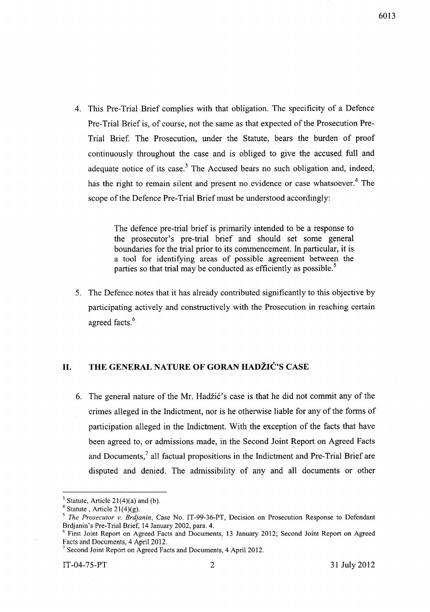4. This Pre-Trial Brief complies with that obligation. The specificity of a Defence Pre-Trial Brief is, of course, not the same as that expected of the Prosecution Pre-Trial Brief. The Prosecution, under the Statute, bears the burden of proof continuously throughout the case and is obliged to give the accused full and adequate notice of its case.<sup>3</sup> The Accused bears no such obligation and, indeed, has the right to remain silent and present no evidence or case whatsoever.<sup>4</sup> The scope of the Defence Pre-Trial Brief must be understood accordingly:

> The defence pre-trial brief is primarily intended to be a response to the prosecutor's pre-trial brief and should set some general boundaries for the trial prior to its commencement. In particular, it is a tool for identifying areas of possible agreement between the parties so that trial may be conducted as efficiently as possible.<sup>5</sup>

5. The Defence notes that it has already contributed significantly to this objective by participating actively and constructively with the Prosecution in reaching certain agreed facts. <sup>6</sup>

## 11. THE GENERAL NATURE OF GORAN HADŽIĆ'S CASE

6. The general nature of the Mr. Hadžić's case is that he did not commit any of the crimes alleged in the Indictment, nor is he otherwise liable for any of the forms of participation alleged in the Indictment. With the exception of the facts that have been agreed to, or admissions made, in the Second Joint Report on Agreed Facts and Documents,<sup>7</sup> all factual propositions in the Indictment and Pre-Trial Brief are disputed and denied. The admissibility of any and all documents or other

 $3$  Statute, Article 21(4)(a) and (b).

<sup>&</sup>lt;sup>4</sup> Statute, Article 21(4)(g).

*<sup>5</sup> The Prosecutor v. Brdjanin,* Case No. IT-99-36-PT, Decision on Prosecution Response to Defendant Brdjanin's Pre-Trial Brief, 14 January 2002, para. 4.

<sup>6</sup> First Joint Report on Agreed Facts and Documents, 13 January 2012; Second Joint Report on Agreed Facts and Documents, 4 April 2012.

<sup>7</sup> Second Joint Report on Agreed Facts and Documents, 4 April 2012.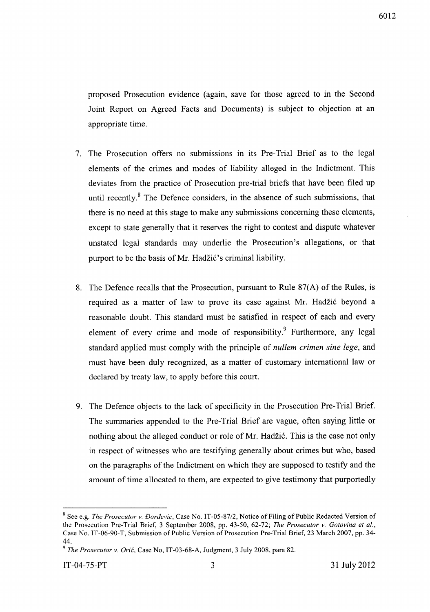proposed Prosecution evidence (again, save for those agreed to in the Second Joint Report on Agreed Facts and Documents) is subject to objection at an appropriate time.

- 7. The Prosecution offers no submissions in its Pre-Trial Brief as to the legal elements of the crimes and modes of liability alleged in the Indictment. This deviates from the practice of Prosecution pre-trial briefs that have been filed up until recently. $8$  The Defence considers, in the absence of such submissions, that there is no need at this stage to make any submissions concerning these elements, except to state generally that it reserves the right to contest and dispute whatever unstated legal standards may underlie the Prosecution's allegations, or that purport to be the basis of Mr. Hadžić's criminal liability.
- 8. The Defence recalls that the Prosecution, pursuant to Rule 87(A) of the Rules, is required as a matter of law to prove its case against Mr. Hadžić beyond a reasonable doubt. This standard must be satisfied in respect of each and every element of every crime and mode of responsibility. Furthermore, any legal standard applied must comply with the principle of *nullem crimen sine lege,* and must have been duly recognized, as a matter of customary international law or declared by treaty law, to apply before this court.
- 9. The Defence objects to the lack of specificity in the Prosecution Pre-Trial Brief. The summaries appended to the Pre-Trial Brief are vague, often saying little or nothing about the alleged conduct or role of Mr. Hadžić. This is the case not only in respect of witnesses who are testifying generally about crimes but who, based on the paragraphs of the Indictment on which they are supposed to testify and the amount of time allocated to them, are expected to give testimony that purportedly

<sup>8</sup> See e.g. *The Prosecutor v. Doraevic,* Case No. *IT-05-87/2,* Notice of Filing of Public Redacted Version of the Prosecution Pre-Trial Brief, 3 September 2008, pp. 43-50, 62-72; *The Prosecutor v. Gotovina et al.,*  Case No. IT-06-90-T, Submission of Public Version of Prosecution Pre-Trial Brief, 23 March 2007, pp. 34- 44.

*<sup>9</sup> The Prosecutor v. Oric,* Case No, IT-03-68-A, Judgment, 3 July 2008, para 82.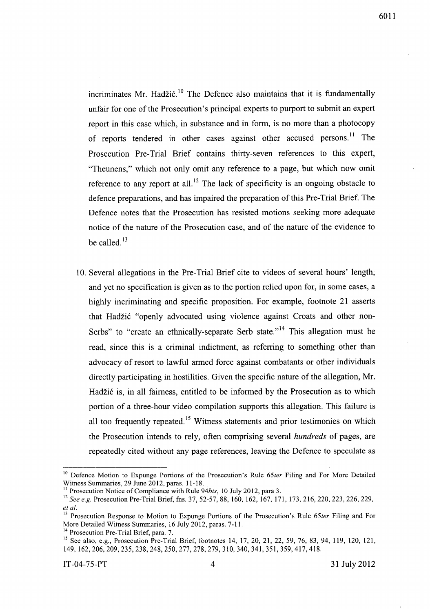incriminates Mr. Hadžić.<sup>10</sup> The Defence also maintains that it is fundamentally unfair for one of the Prosecution's principal experts to purport to submit an expert report in this case which, in substance and in form, is no more than a photocopy of reports tendered in other cases against other accused persons.<sup>11</sup> The Prosecution Pre-Trial Brief contains thirty-seven references to this expert, "Theunens," which not only omit any reference to a page, but which now omit reference to any report at all.<sup>12</sup> The lack of specificity is an ongoing obstacle to defence preparations, and has impaired the preparation of this Pre-Trial Brief. The Defence notes that the Prosecution has resisted motions seeking more adequate notice of the nature of the Prosecution case, and of the nature of the evidence to be called. $^{13}$ 

10. Several allegations in the Pre-Trial Brief cite to videos of several hours' length, and yet no specification is given as to the portion relied upon for, in some cases, a highly incriminating and specific proposition. For example, footnote 21 asserts that Hadzi6 "openly advocated using violence against Croats and other non-Serbs" to "create an ethnically-separate Serb state."<sup>14</sup> This allegation must be read, since this is a criminal indictment, as referring to something other than advocacy of resort to lawful armed force against combatants or other individuals directly participating in hostilities. Given the specific nature of the allegation, Mr. Hadžić is, in all fairness, entitled to be informed by the Prosecution as to which portion of a three-hour video compilation supports this allegation. This failure is all too frequently repeated.<sup>15</sup> Witness statements and prior testimonies on which the Prosecution intends to rely, often comprising several *hundreds* of pages, are repeatedly cited without any page references, leaving the Defence to speculate as

<sup>&</sup>lt;sup>10</sup> Defence Motion to Expunge Portions of the Prosecution's Rule 65ter Filing and For More Detailed Witness Summaries, 29 June 2012, paras. 11-18.

<sup>&</sup>lt;sup>11</sup> Prosecution Notice of Compliance with Rule 94bis, 10 July 2012, para 3.

<sup>&</sup>lt;sup>12</sup> See e.g. Prosecution Pre-Trial Brief, fns. 37, 52-57, 88, 160, 162, 167, 171, 173, 216, 220, 223, 226, 229, *et al.* 

<sup>13</sup> Prosecution Response to Motion to Expunge Portions of the Prosecution's Rule *65ter* Filing and For More Detailed Witness Summaries, 16 July 2012, paras. 7-11.

<sup>&</sup>lt;sup>14</sup> Prosecution Pre-Trial Brief, para. 7.

<sup>&</sup>lt;sup>15</sup> See also, e.g., Prosecution Pre-Trial Brief, footnotes 14, 17, 20, 21, 22, 59, 76, 83, 94, 119, 120, 121, 149, 162,206,209,235,238,248,250,277,278,279,310,340,341,351,359,417,418.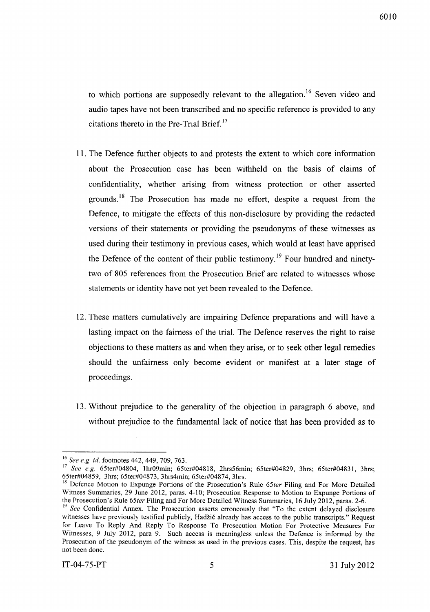to which portions are supposedly relevant to the allegation.<sup>16</sup> Seven video and audio tapes have not been transcribed and no specific reference is provided to any citations thereto in the Pre-Trial Brief.<sup>17</sup>

- 11. The Defence further objects to and protests the extent to which core information about the Prosecution case has been withheld on the basis of claims of confidentiality, whether arising from witness protection or other asserted grounds.<sup>18</sup> The Prosecution has made no effort, despite a request from the Defence, to mitigate the effects of this non-disclosure by providing the redacted versions of their statements or providing the pseudonyms of these witnesses as used during their testimony in previous cases, which would at least have apprised the Defence of the content of their public testimony.<sup>19</sup> Four hundred and ninetytwo of 805 references from the Prosecution Brief are related to witnesses whose statements or identity have not yet been revealed to the Defence.
- 12. These matters cumulatively are impairing Defence preparations and will have a lasting impact on the fairness of the trial. The Defence reserves the right to raise objections to these matters as and when they arise, or to seek other legal remedies should the unfairness only become evident or manifest at a later stage of proceedings.
- 13. Without prejudice to the generality of the objection in paragraph 6 above, and without prejudice to the fundamental lack of notice that has been provided as to

<sup>16</sup>*See e.g. id.* footnotes 442, 449, 709, 763.

<sup>17</sup>*See e.g.* 65ter#04804, 1hr09min; 65ter#04818, 2hrs56min; 65ter#04829, 3hrs; 65ter#04831, 3hrs; 65ter#04859, 3hrs; 65ter#04873, 3hrs4min; 65ter#04874, 3hrs.

<sup>&</sup>lt;sup>18</sup> Defence Motion to Expunge Portions of the Prosecution's Rule 65ter Filing and For More Detailed Witness Summaries, 29 June 2012, paras. 4-10; Prosecution Response to Motion to Expunge Portions of the Prosecution's Rule *65ter* Filing and For More Detailed Witness Summaries, 16 July 2012, paras. 2-6.

<sup>&</sup>lt;sup>19</sup> See Confidential Annex. The Prosecution asserts erroneously that "To the extent delayed disclosure witnesses have previously testified publicly, Hadžić already has access to the public transcripts." Request for Leave To Reply And Reply To Response To Prosecution Motion For Protective Measures For Witnesses, 9 July 2012, para 9. Such access is meaningless unless the Defence is informed by the Prosecution of the pseudonym of the witness as used in the previous cases. This, despite the request, has not been done.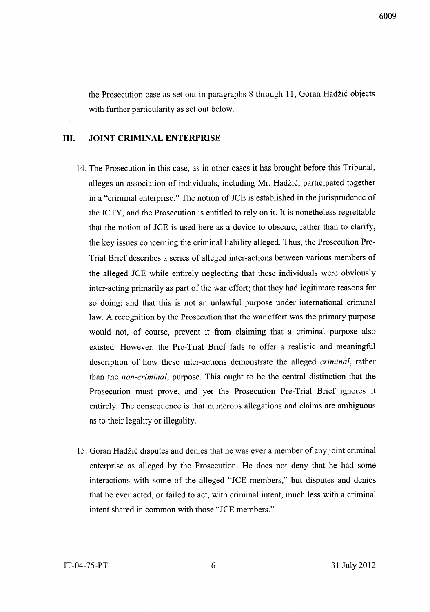the Prosecution case as set out in paragraphs 8 through 11, Goran Hadzic objects with further particularity as set out below.

#### **Ill.** JOINT CRIMINAL ENTERPRISE

- 14. The Prosecution in this case, as in other cases it has brought before this Tribunal, alleges an association of individuals, including Mr. Hadzic, participated together in a "criminal enterprise." The notion of *lCE* is established in the jurisprudence of the ICTY, and the Prosecution is entitled to rely on it. It is nonetheless regrettable that the notion of *lCE* is used here as a device to obscure, rather than to clarify, the key issues concerning the criminal liability alleged. Thus, the Prosecution Pre-Trial Brief describes a series of alleged inter-actions between various members of the alleged *lCE* while entirely neglecting that these individuals were obviously inter-acting primarily as part of the war effort; that they had legitimate reasons for so doing; and that this is not an unlawful purpose under international criminal law. A recognition by the Prosecution that the war effort was the primary purpose would not, of course, prevent it from claiming that a criminal purpose also existed. However, the Pre-Trial Brief fails to offer a realistic and meaningful description of how these inter-actions demonstrate the alleged *criminal,* rather than the *non-criminal,* purpose. This ought to be the central distinction that the Prosecution must prove, and yet the Prosecution Pre-Trial Brief ignores it entirely. The consequence is that numerous allegations and claims are ambiguous as to their legality or illegality.
- 15. Ooran Hadzic disputes and denies that he was ever a member of any joint criminal enterprise as alleged by the Prosecution. He does not deny that he had some interactions with some of the alleged *"lCE* members," but disputes and denies that he ever acted, or failed to act, with criminal intent, much less with a criminal intent shared in common with those *"lCE* members."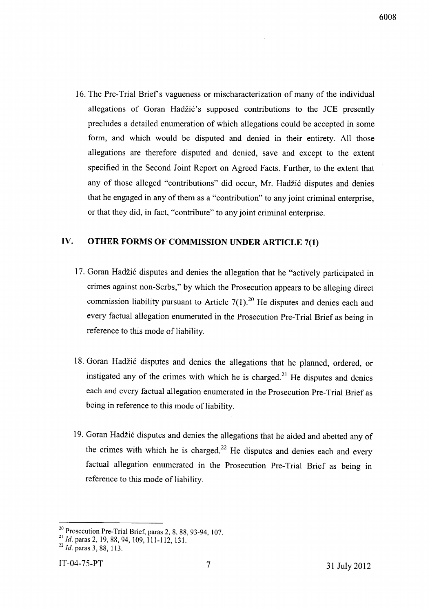16. The Pre-Trial Brief's vagueness or mischaracterization of many of the individual allegations of Goran Hadžić's supposed contributions to the JCE presently precludes a detailed enumeration of which allegations could be accepted in some form, and which would be disputed and denied in their entirety. All those allegations are therefore disputed and denied, save and except to the extent specified in the Second Joint Report on Agreed Facts. Further, to the extent that any of those alleged "contributions" did occur, Mr. Hadžić disputes and denies that he engaged in any of them as a "contribution" to any joint criminal enterprise, or that they did, in fact, "contribute" to any joint criminal enterprise.

## **IV. OTHER FORMS OF COMMISSION UNDER ARTICLE 7(1)**

- 17. Goran Hadžić disputes and denies the allegation that he "actively participated in crimes against non-Serbs," by which the Prosecution appears to be alleging direct commission liability pursuant to Article  $7(1)$ .<sup>20</sup> He disputes and denies each and every factual allegation enumerated in the Prosecution Pre-Trial Brief as being in reference to this mode of liability.
- 18. Goran Hadžić disputes and denies the allegations that he planned, ordered, or instigated any of the crimes with which he is charged.<sup>21</sup> He disputes and denies each and every factual allegation enumerated in the Prosecution Pre-Trial Brief as being in reference to this mode of liability.
- 19. Ooran Hadzi6 disputes and denies the allegations that he aided and abetted any of the crimes with which he is charged.<sup>22</sup> He disputes and denies each and every factual allegation enumerated in the Prosecution Pre-Trial Brief as being in reference to this mode of liability.

 $\frac{1}{2}$  Prosecution Pre-Trial Brief, paras 2, 8, 88, 93-94, 107.

<sup>&</sup>lt;sup>21</sup> *Id.* paras 2, 19, 88, 94, 109, 111-112, 131. *<sup>2</sup> Id.* paras 3, 88, 113.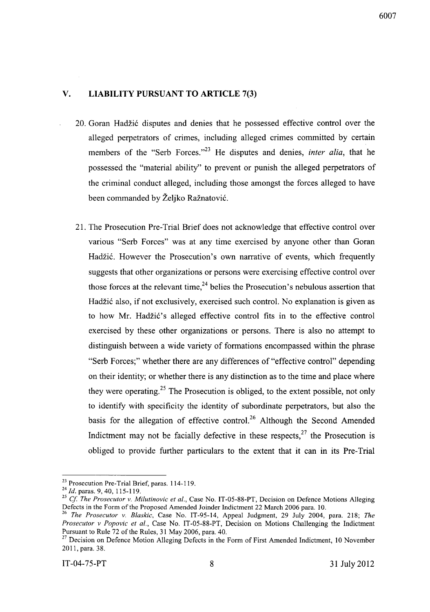## **v. LIABILITY PURSUANT TO ARTICLE 7(3)**

- 20. Goran Hadzic disputes and denies that he possessed effective control over the alleged perpetrators of crimes, including alleged crimes committed by certain members of the "Serb Forces."<sup>23</sup> He disputes and denies, *inter alia*, that he possessed the "material ability" to prevent or punish the alleged perpetrators of the criminal conduct alleged, including those amongst the forces alleged to have been commanded by Željko Ražnatović.
- 21. The Prosecution Pre-Trial Brief does not acknowledge that effective control over various "Serb Forces" was at any time exercised by anyone other than Goran Hadžić. However the Prosecution's own narrative of events, which frequently suggests that other organizations or persons were exercising effective control over those forces at the relevant time,  $2<sup>4</sup>$  belies the Prosecution's nebulous assertion that Hadžić also, if not exclusively, exercised such control. No explanation is given as to how Mr. Hadžić's alleged effective control fits in to the effective control exercised by these other organizations or persons. There is also no attempt to distinguish between a wide variety of formations encompassed within the phrase "Serb Forces;" whether there are any differences of "effective control" depending on their identity; or whether there is any distinction as to the time and place where they were operating.<sup>25</sup> The Prosecution is obliged, to the extent possible, not only to identify with specificity the identity of subordinate perpetrators, but also the basis for the allegation of effective control.<sup>26</sup> Although the Second Amended Indictment may not be facially defective in these respects, $27$  the Prosecution is obliged to provide further particulars to the extent that it can in its Pre-Trial

<sup>&</sup>lt;sup>23</sup> Prosecution Pre-Trial Brief, paras. 114-119.

*<sup>24</sup>*Id. paras. 9,40, 115-119.

<sup>&</sup>lt;sup>25</sup> Cf. The Prosecutor v. Milutinovic et al., Case No. IT-05-88-PT, Decision on Defence Motions Alleging Defects in the Form of the Proposed Amended Joinder Indictment 22 March 2006 para. 10.

*<sup>26</sup> The Prosecutor v. Blaskic,* Case No. IT-95-14, Appeal Judgment, 29 July 2004, para. 218; *The Prosecutor v Popovic et al.,* Case No. IT-05-88-PT, Decision on Motions Challenging the Indictment Pursuant to Rule 72 of the Rules, 31 May 2006, para. 40.

<sup>&</sup>lt;sup>27</sup> Decision on Defence Motion Alleging Defects in the Form of First Amended Indictment, 10 November 2011, para. 38.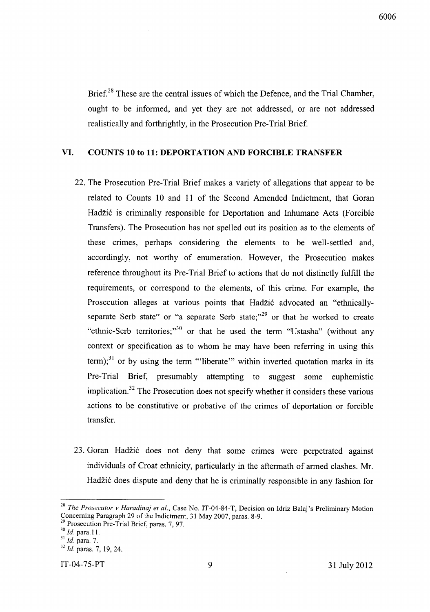6006

Brief.<sup>28</sup> These are the central issues of which the Defence, and the Trial Chamber, ought to be informed, and yet they are not addressed, or are not addressed realistically and forthrightly, in the Prosecution Pre-Trial Brief.

## **VI. COUNTS 10 to 11: DEPORTATION AND FORCIBLE TRANSFER**

- 22. The Prosecution Pre-Trial Brief makes a variety of allegations that appear to be related to Counts 10 and 11 of the Second Amended Indictment, that Goran Hadžić is criminally responsible for Deportation and Inhumane Acts (Forcible Transfers). The Prosecution has not spelled out its position as to the elements of these crimes, perhaps considering the elements to be well-settled and, accordingly, not worthy of enumeration. However, the Prosecution makes reference throughout its Pre-Trial Brief to actions that do not distinctly fulfill the requirements, or correspond to the elements, of this crime. For example, the Prosecution alleges at various points that Hadžić advocated an "ethnicallyseparate Serb state" or "a separate Serb state; $n^{29}$  or that he worked to create "ethnic-Serb territories;"<sup>30</sup> or that he used the term "Ustasha" (without any context or specification as to whom he may have been referring in using this term);<sup>31</sup> or by using the term "'liberate'" within inverted quotation marks in its Pre-Trial Brief, presumably attempting to suggest some euphemistic implication.<sup>32</sup> The Prosecution does not specify whether it considers these various actions to be constitutive or probative of the crimes of deportation or forcible transfer.
- 23. Goran Hadžić does not deny that some crimes were perpetrated against individuals of Croat ethnicity, particularly in the aftermath of armed clashes. Mr. Hadžić does dispute and deny that he is criminally responsible in any fashion for

IT-04-75-PT 9 31 July 2012

*<sup>28</sup> The Prosecutor v Haradinaj et al.,* Case No. IT-04-84-T, Decision on Idriz Balaj's Preliminary Motion Concerning Paragraph 29 of the Indictment, 31 May 2007, paras. 8-9.

<sup>&</sup>lt;sup>29</sup> Prosecution Pre-Trial Brief, paras. 7, 97.<br><sup>30</sup> *Id.* para. 11.

<sup>&</sup>lt;sup>31</sup> *Id.* para. 7.

*<sup>32</sup> Id.* paras. 7,19,24.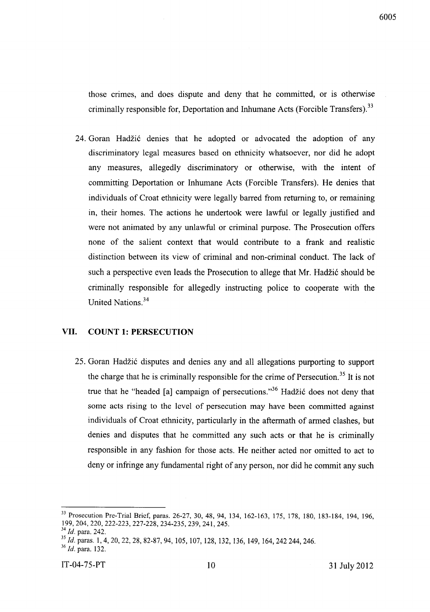6005

those crimes, and does dispute and deny that he committed, or is otherwise criminally responsible for, Deportation and Inhumane Acts (Forcible Transfers).<sup>33</sup>

24. Goran Hadžić denies that he adopted or advocated the adoption of any discriminatory legal measures based on ethnicity whatsoever, nor did he adopt any measures, allegedly discriminatory or otherwise, with the intent of committing Deportation or Inhumane Acts (Forcible Transfers). He denies that individuals of Croat ethnicity were legally barred from returning to, or remaining in, their homes. The actions he undertook were lawful or legally justified and were not animated by any unlawful or criminal purpose. The Prosecution offers none of the salient context that would contribute to a frank and realistic distinction between its view of criminal and non-criminal conduct. The lack of such a perspective even leads the Prosecution to allege that Mr. Hadžić should be criminally responsible for allegedly instructing police to cooperate with the United Nations.<sup>34</sup>

## **VII. COUNT 1: PERSECUTION**

25. Goran Hadžić disputes and denies any and all allegations purporting to support the charge that he is criminally responsible for the crime of Persecution.<sup>35</sup> It is not true that he "headed [a] campaign of persecutions. $136$  Hadžić does not deny that some acts rising to the level of persecution may have been committed against individuals of Croat ethnicity, particularly in the aftermath of armed clashes, but denies and disputes that he committed any such acts or that he is criminally responsible in any fashion for those acts. He neither acted nor omitted to act to deny or infringe any fundamental right of any person, nor did he commit any such

<sup>33</sup> Prosecution Pre-Trial Brief, paras. 26-27, 30, 48, 94, 134, 162-163, 175, 178, 180, 183-184, 194, 196, 199,204,220,222-223,227-228,234-235,239,241,245.

*<sup>34</sup> Id.* para. 242.

*<sup>35</sup>*Id. paras. 1,4,20,22,28,82-87,94, 105, 107, 128, 132, 136, 149, 164,242244,246.

*<sup>36</sup>*Id. para. 132.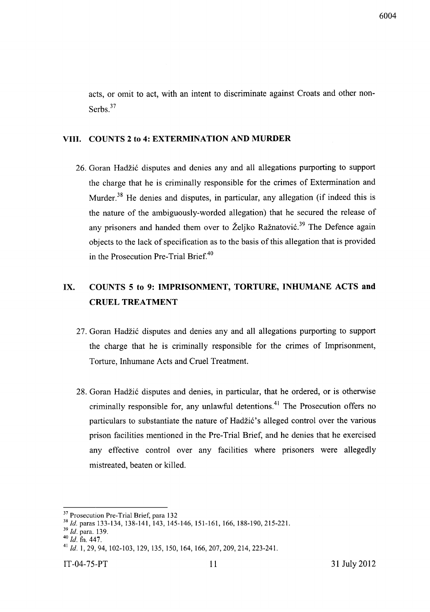acts, or omit to act, with an intent to discriminate against Croats and other non-Serbs.<sup>37</sup>

#### **VIII. COUNTS 2 to 4: EXTERMINATION AND MURDER**

26. Goran Hadžić disputes and denies any and all allegations purporting to support the charge that he is criminally responsible for the crimes of Extermination and Murder.<sup>38</sup> He denies and disputes, in particular, any allegation (if indeed this is the nature of the ambiguously-worded allegation) that he secured the release of any prisoners and handed them over to Željko Ražnatović.<sup>39</sup> The Defence again objects to the lack of specification as to the basis of this allegation that is provided in the Prosecution Pre-Trial Brief.<sup>40</sup>

## **IX. COUNTS 5 to 9: IMPRISONMENT, TORTURE, INHUMANE ACTS and CRUEL TREATMENT**

- 27. Goran Hadžić disputes and denies any and all allegations purporting to support the charge that he is criminally responsible for the crimes of Imprisonment, Torture, Inhumane Acts and Cruel Treatment.
- 28. Goran Hadžić disputes and denies, in particular, that he ordered, or is otherwise criminally responsible for, any unlawful detentions.<sup>41</sup> The Prosecution offers no particulars to substantiate the nature of Hadžić's alleged control over the various prison facilities mentioned in the Pre-Trial Brief, and he denies that he exercised any effective control over any facilities where prisoners were allegedly mistreated, beaten or killed.

<sup>&</sup>lt;sup>37</sup> Prosecution Pre-Trial Brief, para 132

*<sup>38</sup>*Id. paras l33-134, l38-141, 143, 145-146, 151-161, 166, 188-190, 215-22l.

*<sup>39</sup>*Id. para. l39.

*<sup>40</sup> Id.* fn. 447.

<sup>41</sup>*Id.* 1,29,94, 102-103, 129, 135, 150, 164, 166,207,209,214,223-241.